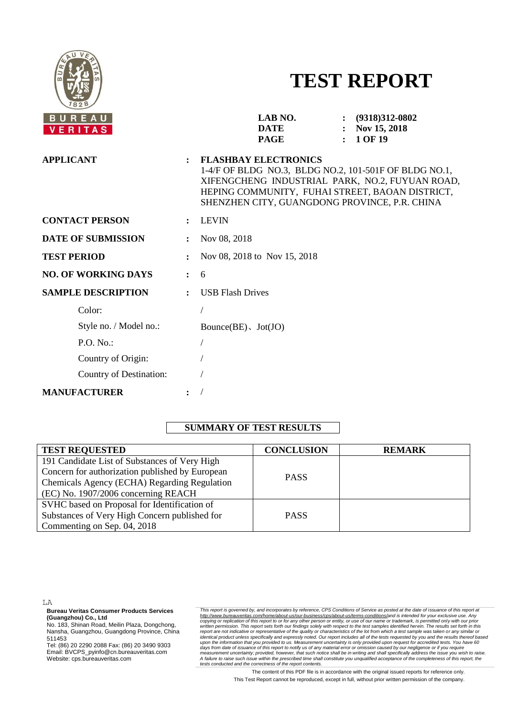

# **TEST REPORT**

| <b>BUREAU</b><br>VERITAS   |                      | LAB NO.<br><b>DATE</b><br><b>PAGE</b>                                                                                                                                                                                                       | $\mathbf{L}$ | $: (9318)312-0802$<br>Nov 15, 2018<br>1 OF 19 |
|----------------------------|----------------------|---------------------------------------------------------------------------------------------------------------------------------------------------------------------------------------------------------------------------------------------|--------------|-----------------------------------------------|
| <b>APPLICANT</b>           | $\ddot{\phantom{a}}$ | <b>FLASHBAY ELECTRONICS</b><br>1-4/F OF BLDG NO.3, BLDG NO.2, 101-501F OF BLDG NO.1,<br>XIFENGCHENG INDUSTRIAL PARK, NO.2, FUYUAN ROAD,<br>HEPING COMMUNITY, FUHAI STREET, BAOAN DISTRICT,<br>SHENZHEN CITY, GUANGDONG PROVINCE, P.R. CHINA |              |                                               |
| <b>CONTACT PERSON</b>      |                      | <b>LEVIN</b>                                                                                                                                                                                                                                |              |                                               |
| <b>DATE OF SUBMISSION</b>  |                      | Nov 08, 2018                                                                                                                                                                                                                                |              |                                               |
| <b>TEST PERIOD</b>         |                      | Nov 08, 2018 to Nov 15, 2018                                                                                                                                                                                                                |              |                                               |
| <b>NO. OF WORKING DAYS</b> | $\ddot{\phantom{a}}$ | 6                                                                                                                                                                                                                                           |              |                                               |
| <b>SAMPLE DESCRIPTION</b>  |                      | <b>USB Flash Drives</b>                                                                                                                                                                                                                     |              |                                               |
| Color:                     |                      |                                                                                                                                                                                                                                             |              |                                               |
| Style no. / Model no.:     |                      | Bounce $(BE)$ , Jot $(JO)$                                                                                                                                                                                                                  |              |                                               |
| P.O. No.                   |                      |                                                                                                                                                                                                                                             |              |                                               |
| Country of Origin:         |                      |                                                                                                                                                                                                                                             |              |                                               |
| Country of Destination:    |                      |                                                                                                                                                                                                                                             |              |                                               |
| <b>MANUFACTURER</b>        |                      |                                                                                                                                                                                                                                             |              |                                               |

# **SUMMARY OF TEST RESULTS**

| <b>TEST REQUESTED</b>                           | <b>CONCLUSION</b> | <b>REMARK</b> |
|-------------------------------------------------|-------------------|---------------|
| 191 Candidate List of Substances of Very High   |                   |               |
| Concern for authorization published by European | <b>PASS</b>       |               |
| Chemicals Agency (ECHA) Regarding Regulation    |                   |               |
| (EC) No. 1907/2006 concerning REACH             |                   |               |
| SVHC based on Proposal for Identification of    |                   |               |
| Substances of Very High Concern published for   | <b>PASS</b>       |               |
| Commenting on Sep. 04, 2018                     |                   |               |

LA

**Bureau Veritas Consumer Products Services (Guangzhou) Co., Ltd**

No. 183, Shinan Road, Meilin Plaza, Dongchong, Nansha, Guangzhou, Guangdong Province, China 511453

Tel: (86) 20 2290 2088 Fax: (86) 20 3490 9303 Email: BVCPS\_pyinfo@cn.bureauveritas.com Website: cps.bureauveritas.com

This report is governed by, and incorporates by reference, CPS Conditions of Service as posted at the date of issuance of this report at http://www.bureauveritas.com/home/about-us/our-business/cps/about-us/temm-conditions/

The content of this PDF file is in accordance with the original issued reports for reference only. This Test Report cannot be reproduced, except in full, without prior written permission of the company.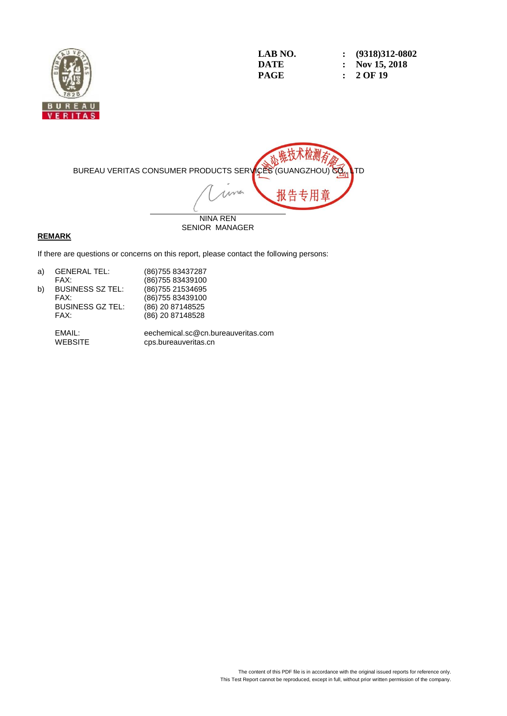

| LAB NO. | $\colon$ (9318)312-0802 |
|---------|-------------------------|
| DATE    | : Nov 15, 2018          |
| PAGE    | $: 2$ OF 19             |



#### **REMARK**

If there are questions or concerns on this report, please contact the following persons:

| a) | <b>GENERAL TEL:</b>     | (86) 755 83437287 |
|----|-------------------------|-------------------|
|    | FAX:                    | (86) 755 83439100 |
| b) | <b>BUSINESS SZ TEL:</b> | (86) 755 21534695 |
|    | FAX:                    | (86) 755 83439100 |
|    | <b>BUSINESS GZ TEL:</b> | (86) 20 87148525  |
|    | FAX:                    | (86) 20 87148528  |
|    |                         |                   |

EMAIL: eechemical.sc@cn.bureauveritas.com cps.bureauveritas.cn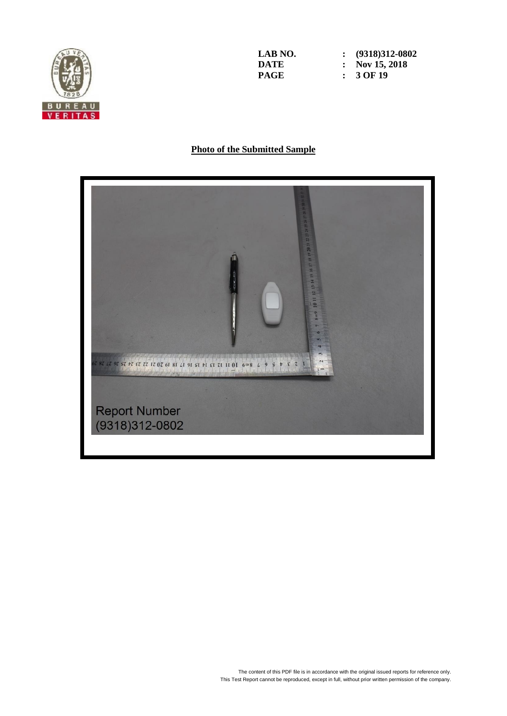

**LAB** NO. <br>**: (9318)312-0802**<br>**DATE :** Nov 15, 2018 **DATE : Nov** 15, 2018<br>**PAGE :** 3 OF 19 **PAGE : 3 OF 19**

# **Photo of the Submitted Sample**

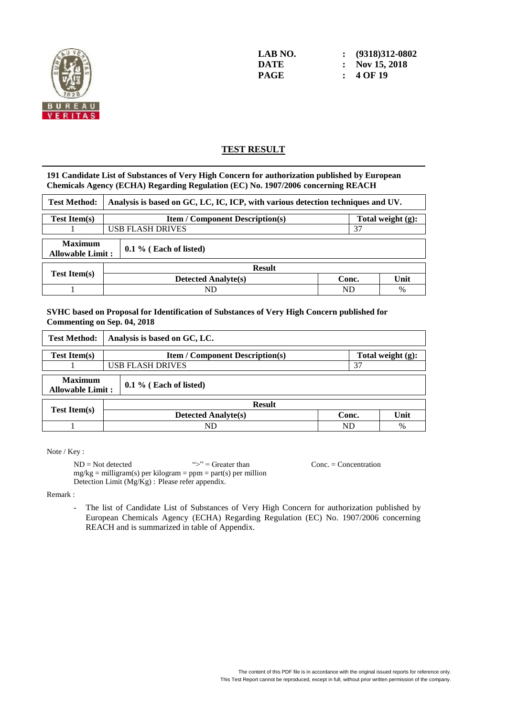

# **TEST RESULT**

#### **191 Candidate List of Substances of Very High Concern for authorization published by European Chemicals Agency (ECHA) Regarding Regulation (EC) No. 1907/2006 concerning REACH**

| <b>Test Method:</b>                       |                               | Analysis is based on GC, LC, IC, ICP, with various detection techniques and UV. |       |      |  |  |  |
|-------------------------------------------|-------------------------------|---------------------------------------------------------------------------------|-------|------|--|--|--|
| <b>Test Item(s)</b>                       |                               | <b>Item / Component Description(s)</b><br>Total weight (g):                     |       |      |  |  |  |
|                                           | <b>USB FLASH DRIVES</b><br>37 |                                                                                 |       |      |  |  |  |
| <b>Maximum</b><br><b>Allowable Limit:</b> |                               | $0.1\%$ (Each of listed)                                                        |       |      |  |  |  |
|                                           |                               | <b>Result</b>                                                                   |       |      |  |  |  |
| <b>Test Item(s)</b>                       |                               | <b>Detected Analyte(s)</b>                                                      | Conc. | Unit |  |  |  |
|                                           |                               | ND<br>ND<br>$\%$                                                                |       |      |  |  |  |

#### **SVHC based on Proposal for Identification of Substances of Very High Concern published for Commenting on Sep. 04, 2018**

| <b>Test Method:</b>                                                   | Analysis is based on GC, LC.                                |       |      |  |  |  |
|-----------------------------------------------------------------------|-------------------------------------------------------------|-------|------|--|--|--|
| <b>Test Item(s)</b>                                                   | Total weight (g):<br><b>Item / Component Description(s)</b> |       |      |  |  |  |
|                                                                       | <b>USB FLASH DRIVES</b><br>37                               |       |      |  |  |  |
| <b>Maximum</b><br>$0.1\%$ (Each of listed)<br><b>Allowable Limit:</b> |                                                             |       |      |  |  |  |
|                                                                       | <b>Result</b>                                               |       |      |  |  |  |
| <b>Test Item(s)</b>                                                   | <b>Detected Analyte(s)</b>                                  | Conc. | Unit |  |  |  |
|                                                                       | ND<br>ND<br>%                                               |       |      |  |  |  |

Note / Key :

 $ND = Not detected$   $\Rightarrow$   $S = Greater than$  Conc. = Concentration  $mg/kg =$  milligram(s) per kilogram = ppm = part(s) per million Detection Limit (Mg/Kg) : Please refer appendix.

Remark :

- The list of Candidate List of Substances of Very High Concern for authorization published by European Chemicals Agency (ECHA) Regarding Regulation (EC) No. 1907/2006 concerning REACH and is summarized in table of Appendix.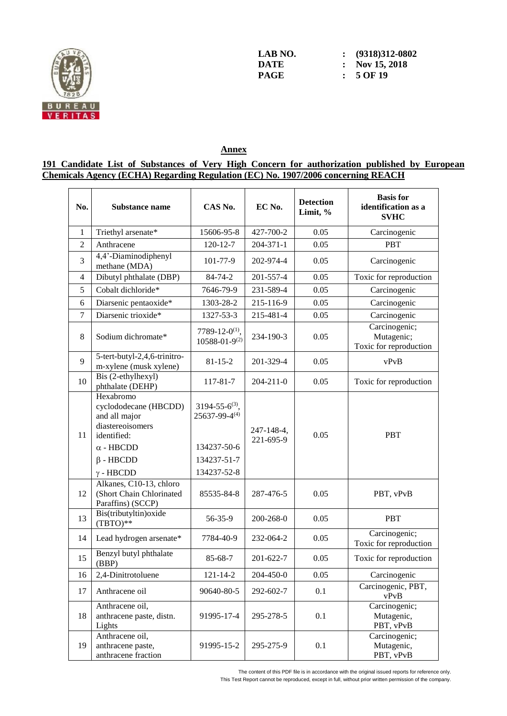

**LAB** NO. <br>**: (9318)312-0802**<br>**DATE :** Nov 15, 2018 **DATE : Nov** 15, 2018<br>**PAGE :** 5 OF 19 **PAGE : 5 OF 19**

# **Annex**

#### **191 Candidate List of Substances of Very High Concern for authorization published by European Chemicals Agency (ECHA) Regarding Regulation (EC) No. 1907/2006 concerning REACH**

| No.            | Substance name                                                                                                                                    | CAS No.                                                                               | EC No.                  | <b>Detection</b><br>Limit, % | <b>Basis</b> for<br>identification as a<br><b>SVHC</b> |
|----------------|---------------------------------------------------------------------------------------------------------------------------------------------------|---------------------------------------------------------------------------------------|-------------------------|------------------------------|--------------------------------------------------------|
| $\mathbf{1}$   | Triethyl arsenate*                                                                                                                                | 15606-95-8                                                                            | 427-700-2               | 0.05                         | Carcinogenic                                           |
| $\overline{2}$ | Anthracene                                                                                                                                        | $120 - 12 - 7$                                                                        | $204 - 371 - 1$         | 0.05                         | <b>PBT</b>                                             |
| 3              | 4,4'-Diaminodiphenyl<br>methane (MDA)                                                                                                             | 101-77-9                                                                              | 202-974-4               | 0.05                         | Carcinogenic                                           |
| $\overline{4}$ | Dibutyl phthalate (DBP)                                                                                                                           | 84-74-2                                                                               | 201-557-4               | 0.05                         | Toxic for reproduction                                 |
| 5              | Cobalt dichloride*                                                                                                                                | 7646-79-9                                                                             | 231-589-4               | 0.05                         | Carcinogenic                                           |
| 6              | Diarsenic pentaoxide*                                                                                                                             | 1303-28-2                                                                             | 215-116-9               | 0.05                         | Carcinogenic                                           |
| $\overline{7}$ | Diarsenic trioxide*                                                                                                                               | 1327-53-3                                                                             | 215-481-4               | 0.05                         | Carcinogenic                                           |
| 8              | Sodium dichromate*                                                                                                                                | 7789-12-0 <sup>(1)</sup> ,<br>$10588 - 01 - 9^{(2)}$                                  | 234-190-3               | 0.05                         | Carcinogenic;<br>Mutagenic;<br>Toxic for reproduction  |
| 9              | 5-tert-butyl-2,4,6-trinitro-<br>m-xylene (musk xylene)                                                                                            | $81 - 15 - 2$                                                                         | 201-329-4               | 0.05                         | vPvB                                                   |
| 10             | Bis (2-ethylhexyl)<br>phthalate (DEHP)                                                                                                            | 117-81-7                                                                              | $204 - 211 - 0$         | 0.05                         | Toxic for reproduction                                 |
| 11             | Hexabromo<br>cyclododecane (HBCDD)<br>and all major<br>diastereoisomers<br>identified:<br>$\alpha$ - HBCDD<br>$\beta$ - HBCDD<br>$\gamma$ - HBCDD | $3194 - 55 - 6^{(3)}$ ,<br>25637-99-4(4)<br>134237-50-6<br>134237-51-7<br>134237-52-8 | 247-148-4,<br>221-695-9 | 0.05                         | <b>PBT</b>                                             |
| 12             | Alkanes, C10-13, chloro<br>(Short Chain Chlorinated<br>Paraffins) (SCCP)                                                                          | 85535-84-8                                                                            | 287-476-5               | 0.05                         | PBT, vPvB                                              |
| 13             | Bis(tributyltin) oxide<br>$(TBTO)**$                                                                                                              | 56-35-9                                                                               | 200-268-0               | 0.05                         | <b>PBT</b>                                             |
| 14             | Lead hydrogen arsenate*                                                                                                                           | 7784-40-9                                                                             | 232-064-2               | 0.05                         | Carcinogenic;<br>Toxic for reproduction                |
| 15             | Benzyl butyl phthalate<br>(BBP)                                                                                                                   | 85-68-7                                                                               | 201-622-7               | 0.05                         | Toxic for reproduction                                 |
| 16             | 2,4-Dinitrotoluene                                                                                                                                | $121 - 14 - 2$                                                                        | 204-450-0               | 0.05                         | Carcinogenic                                           |
| 17             | Anthracene oil                                                                                                                                    | 90640-80-5                                                                            | 292-602-7               | 0.1                          | Carcinogenic, PBT,<br>vPvB                             |
| 18             | Anthracene oil,<br>anthracene paste, distn.<br>Lights                                                                                             | 91995-17-4                                                                            | 295-278-5               | 0.1                          | Carcinogenic;<br>Mutagenic,<br>PBT, vPvB               |
| 19             | Anthracene oil,<br>anthracene paste,<br>anthracene fraction                                                                                       | 91995-15-2                                                                            | 295-275-9               | 0.1                          | Carcinogenic;<br>Mutagenic,<br>PBT, vPvB               |

The content of this PDF file is in accordance with the original issued reports for reference only.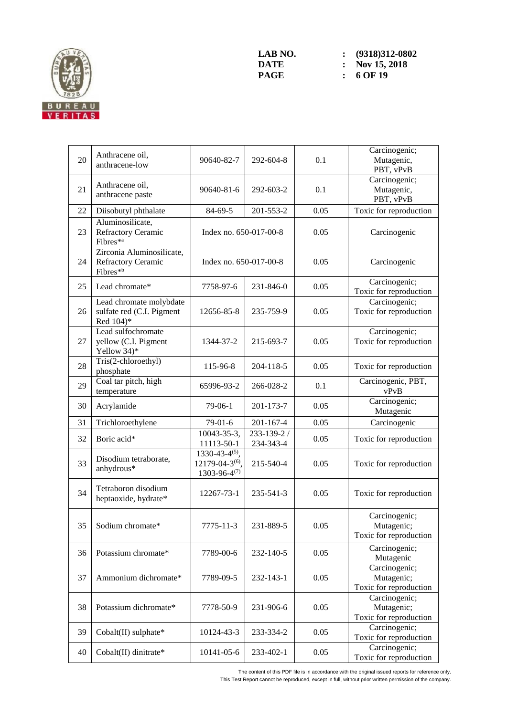

| 20 | Anthracene oil,<br>anthracene-low                                       | 90640-82-7                                                                      | 292-604-8                | 0.1  | Carcinogenic;<br>Mutagenic,<br>PBT, vPvB              |
|----|-------------------------------------------------------------------------|---------------------------------------------------------------------------------|--------------------------|------|-------------------------------------------------------|
| 21 | Anthracene oil,<br>anthracene paste                                     | 90640-81-6                                                                      | 292-603-2                | 0.1  | Carcinogenic;<br>Mutagenic,<br>PBT, vPvB              |
| 22 | Diisobutyl phthalate                                                    | 84-69-5                                                                         | 201-553-2                | 0.05 | Toxic for reproduction                                |
| 23 | Aluminosilicate,<br><b>Refractory Ceramic</b><br>Fibres* <sup>a</sup>   | Index no. 650-017-00-8                                                          |                          | 0.05 | Carcinogenic                                          |
| 24 | Zirconia Aluminosilicate,<br>Refractory Ceramic<br>Fibres <sup>*b</sup> | Index no. 650-017-00-8                                                          |                          | 0.05 | Carcinogenic                                          |
| 25 | Lead chromate*                                                          | 7758-97-6                                                                       | 231-846-0                | 0.05 | Carcinogenic;<br>Toxic for reproduction               |
| 26 | Lead chromate molybdate<br>sulfate red (C.I. Pigment<br>Red 104)*       | 12656-85-8                                                                      | 235-759-9                | 0.05 | Carcinogenic;<br>Toxic for reproduction               |
| 27 | Lead sulfochromate<br>yellow (C.I. Pigment<br>Yellow 34)*               | 1344-37-2                                                                       | 215-693-7                | 0.05 | Carcinogenic;<br>Toxic for reproduction               |
| 28 | Tris(2-chloroethyl)<br>phosphate                                        | 115-96-8                                                                        | 204-118-5                | 0.05 | Toxic for reproduction                                |
| 29 | Coal tar pitch, high<br>temperature                                     | 65996-93-2                                                                      | 266-028-2                | 0.1  | Carcinogenic, PBT,<br>vPvB                            |
| 30 | Acrylamide                                                              | $79-06-1$                                                                       | 201-173-7                | 0.05 | Carcinogenic;<br>Mutagenic                            |
| 31 | Trichloroethylene                                                       | 79-01-6                                                                         | 201-167-4                | 0.05 | Carcinogenic                                          |
| 32 | Boric acid*                                                             | 10043-35-3,<br>11113-50-1                                                       | 233-139-2 /<br>234-343-4 | 0.05 | Toxic for reproduction                                |
| 33 | Disodium tetraborate,<br>anhydrous*                                     | $1330 - 43 - 4^{(5)}$ ,<br>12179-04-3 <sup>(6)</sup> ,<br>$1303 - 96 - 4^{(7)}$ | 215-540-4                | 0.05 | Toxic for reproduction                                |
| 34 | Tetraboron disodium<br>heptaoxide, hydrate*                             | 12267-73-1                                                                      | 235-541-3                | 0.05 | Toxic for reproduction                                |
| 35 | Sodium chromate*                                                        | $7775 - 11 - 3$                                                                 | 231-889-5                | 0.05 | Carcinogenic;<br>Mutagenic;<br>Toxic for reproduction |
| 36 | Potassium chromate*                                                     | 7789-00-6                                                                       | 232-140-5                | 0.05 | Carcinogenic;<br>Mutagenic                            |
| 37 | Ammonium dichromate*                                                    | 7789-09-5                                                                       | 232-143-1                | 0.05 | Carcinogenic;<br>Mutagenic;<br>Toxic for reproduction |
| 38 | Potassium dichromate*                                                   | 7778-50-9                                                                       | 231-906-6                | 0.05 | Carcinogenic;<br>Mutagenic;<br>Toxic for reproduction |
| 39 | Cobalt(II) sulphate*                                                    | 10124-43-3                                                                      | 233-334-2                | 0.05 | Carcinogenic;<br>Toxic for reproduction               |
| 40 | Cobalt(II) dinitrate*                                                   | 10141-05-6                                                                      | 233-402-1                | 0.05 | Carcinogenic;<br>Toxic for reproduction               |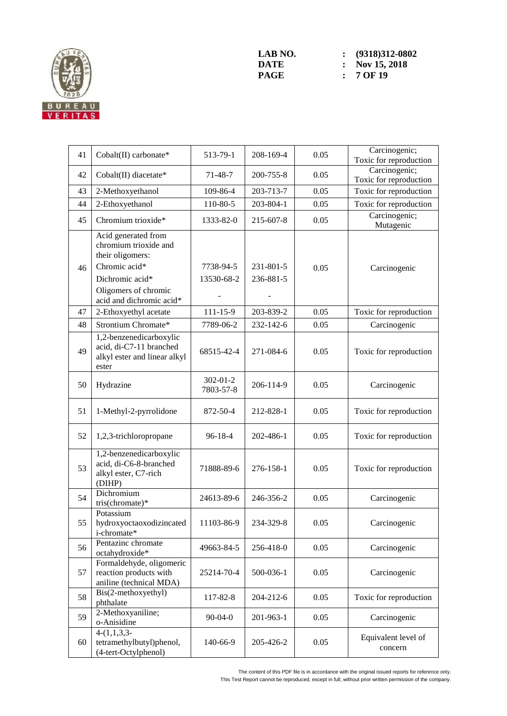

| 41 | Cobalt(II) carbonate*                                                                                | 513-79-1                    | 208-169-4              | 0.05 | Carcinogenic;<br>Toxic for reproduction |
|----|------------------------------------------------------------------------------------------------------|-----------------------------|------------------------|------|-----------------------------------------|
| 42 | Cobalt(II) diacetate*                                                                                | $71 - 48 - 7$               | 200-755-8              | 0.05 | Carcinogenic;<br>Toxic for reproduction |
| 43 | 2-Methoxyethanol                                                                                     | 109-86-4                    | 203-713-7              | 0.05 | Toxic for reproduction                  |
| 44 | 2-Ethoxyethanol                                                                                      | 110-80-5                    | 203-804-1              | 0.05 | Toxic for reproduction                  |
| 45 | Chromium trioxide*                                                                                   | 1333-82-0                   | 215-607-8              | 0.05 | Carcinogenic;<br>Mutagenic              |
| 46 | Acid generated from<br>chromium trioxide and<br>their oligomers:<br>Chromic acid*<br>Dichromic acid* | 7738-94-5<br>13530-68-2     | 231-801-5<br>236-881-5 | 0.05 | Carcinogenic                            |
|    | Oligomers of chromic<br>acid and dichromic acid*                                                     |                             |                        |      |                                         |
| 47 | 2-Ethoxyethyl acetate                                                                                | 111-15-9                    | 203-839-2              | 0.05 | Toxic for reproduction                  |
| 48 | Strontium Chromate*                                                                                  | 7789-06-2                   | 232-142-6              | 0.05 | Carcinogenic                            |
| 49 | 1,2-benzenedicarboxylic<br>acid, di-C7-11 branched<br>alkyl ester and linear alkyl<br>ester          | 68515-42-4                  | 271-084-6              | 0.05 | Toxic for reproduction                  |
| 50 | Hydrazine                                                                                            | $302 - 01 - 2$<br>7803-57-8 | 206-114-9              | 0.05 | Carcinogenic                            |
| 51 | 1-Methyl-2-pyrrolidone                                                                               | 872-50-4                    | 212-828-1              | 0.05 | Toxic for reproduction                  |
| 52 | 1,2,3-trichloropropane                                                                               | $96 - 18 - 4$               | 202-486-1              | 0.05 | Toxic for reproduction                  |
| 53 | 1,2-benzenedicarboxylic<br>acid, di-C6-8-branched<br>alkyl ester, C7-rich<br>(DIHP)                  | 71888-89-6                  | 276-158-1              | 0.05 | Toxic for reproduction                  |
| 54 | Dichromium<br>tris(chromate)*                                                                        | 24613-89-6                  | 246-356-2              | 0.05 | Carcinogenic                            |
| 55 | Potassium<br>hydroxyoctaoxodizincated<br>i-chromate*                                                 | 11103-86-9                  | 234-329-8              | 0.05 | Carcinogenic                            |
| 56 | Pentazinc chromate<br>octahydroxide*                                                                 | 49663-84-5                  | 256-418-0              | 0.05 | Carcinogenic                            |
| 57 | Formaldehyde, oligomeric<br>reaction products with<br>aniline (technical MDA)                        | 25214-70-4                  | 500-036-1              | 0.05 | Carcinogenic                            |
| 58 | Bis(2-methoxyethyl)<br>phthalate                                                                     | 117-82-8                    | 204-212-6              | 0.05 | Toxic for reproduction                  |
| 59 | 2-Methoxyaniline;<br>o-Anisidine                                                                     | $90 - 04 - 0$               | 201-963-1              | 0.05 | Carcinogenic                            |
| 60 | $4-(1,1,3,3-$<br>tetramethylbutyl)phenol,<br>(4-tert-Octylphenol)                                    | 140-66-9                    | 205-426-2              | 0.05 | Equivalent level of<br>concern          |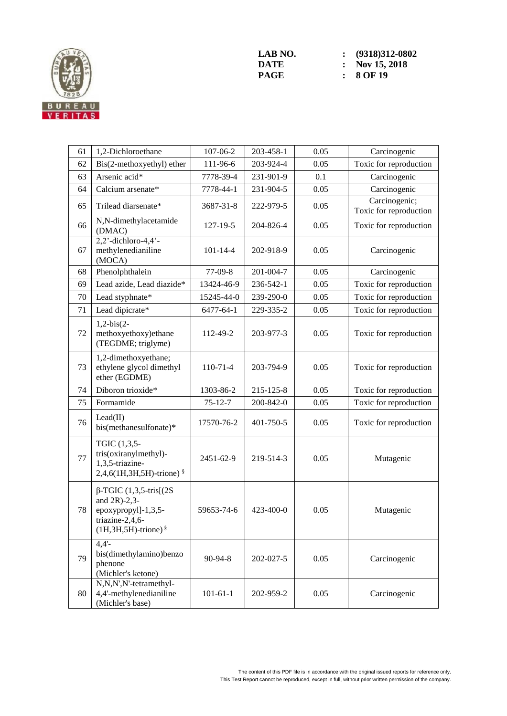

| 61 | 1,2-Dichloroethane                                                                                                       | 107-06-2       | 203-458-1 | 0.05 | Carcinogenic                            |
|----|--------------------------------------------------------------------------------------------------------------------------|----------------|-----------|------|-----------------------------------------|
| 62 | Bis(2-methoxyethyl) ether                                                                                                | 111-96-6       | 203-924-4 | 0.05 | Toxic for reproduction                  |
| 63 | Arsenic acid*                                                                                                            | 7778-39-4      | 231-901-9 | 0.1  | Carcinogenic                            |
| 64 | Calcium arsenate*                                                                                                        | 7778-44-1      | 231-904-5 | 0.05 | Carcinogenic                            |
| 65 | Trilead diarsenate*                                                                                                      | 3687-31-8      | 222-979-5 | 0.05 | Carcinogenic;<br>Toxic for reproduction |
| 66 | N,N-dimethylacetamide<br>(DMAC)                                                                                          | $127 - 19 - 5$ | 204-826-4 | 0.05 | Toxic for reproduction                  |
| 67 | $2,2$ <sup>2</sup> -dichloro-4,4 <sup>2</sup> -<br>methylenedianiline<br>(MOCA)                                          | $101 - 14 - 4$ | 202-918-9 | 0.05 | Carcinogenic                            |
| 68 | Phenolphthalein                                                                                                          | $77-09-8$      | 201-004-7 | 0.05 | Carcinogenic                            |
| 69 | Lead azide, Lead diazide*                                                                                                | 13424-46-9     | 236-542-1 | 0.05 | Toxic for reproduction                  |
| 70 | Lead styphnate*                                                                                                          | 15245-44-0     | 239-290-0 | 0.05 | Toxic for reproduction                  |
| 71 | Lead dipicrate*                                                                                                          | 6477-64-1      | 229-335-2 | 0.05 | Toxic for reproduction                  |
| 72 | $1,2-bis(2-$<br>methoxyethoxy)ethane<br>(TEGDME; triglyme)                                                               | 112-49-2       | 203-977-3 | 0.05 | Toxic for reproduction                  |
| 73 | 1,2-dimethoxyethane;<br>ethylene glycol dimethyl<br>ether (EGDME)                                                        | $110-71-4$     | 203-794-9 | 0.05 | Toxic for reproduction                  |
| 74 | Diboron trioxide*                                                                                                        | 1303-86-2      | 215-125-8 | 0.05 | Toxic for reproduction                  |
| 75 | Formamide                                                                                                                | $75 - 12 - 7$  | 200-842-0 | 0.05 | Toxic for reproduction                  |
| 76 | Lead(II)<br>bis(methanesulfonate)*                                                                                       | 17570-76-2     | 401-750-5 | 0.05 | Toxic for reproduction                  |
| 77 | TGIC (1,3,5-<br>tris(oxiranylmethyl)-<br>1,3,5-triazine-<br>$2,4,6(1H,3H,5H)$ -trione) §                                 | 2451-62-9      | 219-514-3 | 0.05 | Mutagenic                               |
| 78 | $\beta$ -TGIC (1,3,5-tris[(2S)<br>and $2R$ )-2,3-<br>epoxypropyl]-1,3,5-<br>triazine-2,4,6-<br>$(1H, 3H, 5H)$ -trione) § | 59653-74-6     | 423-400-0 | 0.05 | Mutagenic                               |
| 79 | $4,4^{-}$<br>bis(dimethylamino)benzo<br>phenone<br>(Michler's ketone)                                                    | 90-94-8        | 202-027-5 | 0.05 | Carcinogenic                            |
| 80 | N,N,N',N'-tetramethyl-<br>4,4'-methylenedianiline<br>(Michler's base)                                                    | $101 - 61 - 1$ | 202-959-2 | 0.05 | Carcinogenic                            |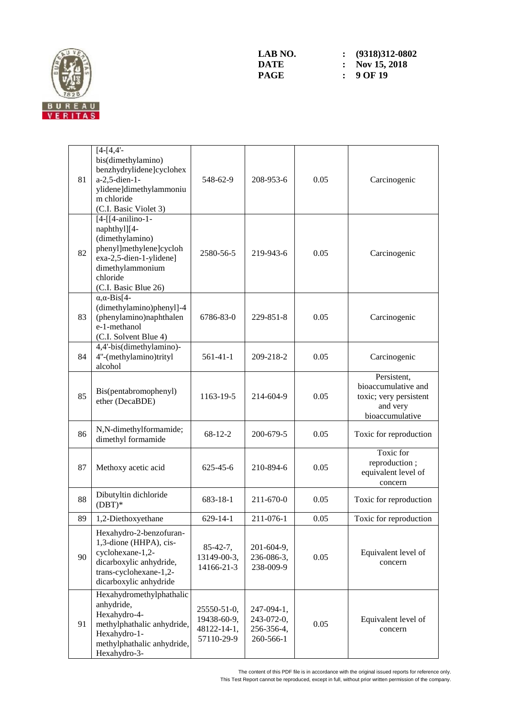

| 81 | $[4-[4,4]$ -<br>bis(dimethylamino)<br>benzhydrylidene]cyclohex<br>a-2,5-dien-1-<br>ylidene]dimethylammoniu<br>m chloride<br>(C.I. Basic Violet 3)                  | 548-62-9                                                | 208-953-6                                           | 0.05 | Carcinogenic                                                                                |
|----|--------------------------------------------------------------------------------------------------------------------------------------------------------------------|---------------------------------------------------------|-----------------------------------------------------|------|---------------------------------------------------------------------------------------------|
| 82 | [4-[[4-anilino-1-<br>naphthyl][4-<br>(dimethylamino)<br>phenyl]methylene]cycloh<br>exa-2,5-dien-1-ylidene]<br>dimethylammonium<br>chloride<br>(C.I. Basic Blue 26) | 2580-56-5                                               | 219-943-6                                           | 0.05 | Carcinogenic                                                                                |
| 83 | $\alpha$ , $\alpha$ -Bis[4-<br>(dimethylamino)phenyl]-4<br>(phenylamino)naphthalen<br>e-1-methanol<br>(C.I. Solvent Blue 4)                                        | 6786-83-0                                               | 229-851-8                                           | 0.05 | Carcinogenic                                                                                |
| 84 | 4,4'-bis(dimethylamino)-<br>4"-(methylamino)trityl<br>alcohol                                                                                                      | $561-41-1$                                              | 209-218-2                                           | 0.05 | Carcinogenic                                                                                |
| 85 | Bis(pentabromophenyl)<br>ether (DecaBDE)                                                                                                                           | 1163-19-5                                               | 214-604-9                                           | 0.05 | Persistent,<br>bioaccumulative and<br>toxic; very persistent<br>and very<br>bioaccumulative |
| 86 | N,N-dimethylformamide;<br>dimethyl formamide                                                                                                                       | $68-12-2$                                               | 200-679-5                                           | 0.05 | Toxic for reproduction                                                                      |
| 87 | Methoxy acetic acid                                                                                                                                                | 625-45-6                                                | 210-894-6                                           | 0.05 | Toxic for<br>reproduction;<br>equivalent level of<br>concern                                |
| 88 | Dibutyltin dichloride<br>$(DBT)*$                                                                                                                                  | 683-18-1                                                | 211-670-0                                           | 0.05 | Toxic for reproduction                                                                      |
| 89 | 1,2-Diethoxyethane                                                                                                                                                 | $629 - 14 - 1$                                          | 211-076-1                                           | 0.05 | Toxic for reproduction                                                                      |
| 90 | Hexahydro-2-benzofuran-<br>1,3-dione (HHPA), cis-<br>cyclohexane-1,2-<br>dicarboxylic anhydride,<br>trans-cyclohexane-1,2-<br>dicarboxylic anhydride               | $85-42-7$ ,<br>13149-00-3,<br>14166-21-3                | 201-604-9,<br>236-086-3,<br>238-009-9               | 0.05 | Equivalent level of<br>concern                                                              |
| 91 | Hexahydromethylphathalic<br>anhydride,<br>Hexahydro-4-<br>methylphathalic anhydride,<br>Hexahydro-1-<br>methylphathalic anhydride,<br>Hexahydro-3-                 | 25550-51-0,<br>19438-60-9,<br>48122-14-1,<br>57110-29-9 | 247-094-1,<br>243-072-0,<br>256-356-4,<br>260-566-1 | 0.05 | Equivalent level of<br>concern                                                              |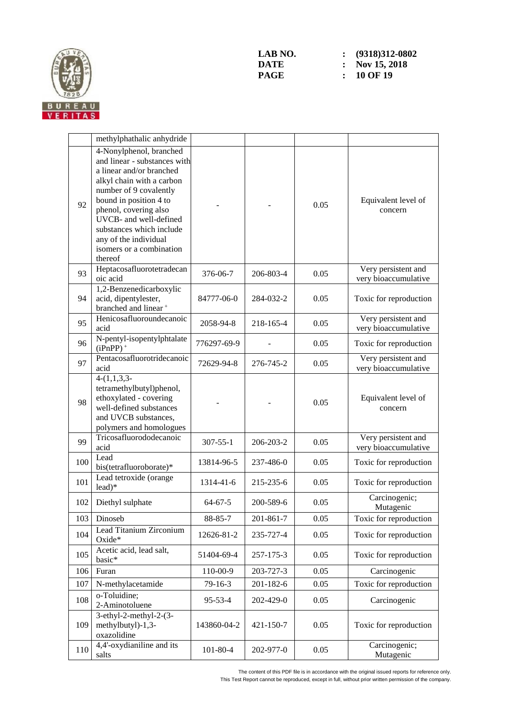

|     | methylphathalic anhydride                                                                                                                                                                                                                                                                                           |                |           |      |                                             |
|-----|---------------------------------------------------------------------------------------------------------------------------------------------------------------------------------------------------------------------------------------------------------------------------------------------------------------------|----------------|-----------|------|---------------------------------------------|
| 92  | 4-Nonylphenol, branched<br>and linear - substances with<br>a linear and/or branched<br>alkyl chain with a carbon<br>number of 9 covalently<br>bound in position 4 to<br>phenol, covering also<br>UVCB- and well-defined<br>substances which include<br>any of the individual<br>isomers or a combination<br>thereof |                |           | 0.05 | Equivalent level of<br>concern              |
| 93  | Heptacosafluorotetradecan<br>oic acid                                                                                                                                                                                                                                                                               | 376-06-7       | 206-803-4 | 0.05 | Very persistent and<br>very bioaccumulative |
| 94  | 1,2-Benzenedicarboxylic<br>acid, dipentylester,<br>branched and linear <sup>+</sup>                                                                                                                                                                                                                                 | 84777-06-0     | 284-032-2 | 0.05 | Toxic for reproduction                      |
| 95  | Henicosafluoroundecanoic<br>acid                                                                                                                                                                                                                                                                                    | 2058-94-8      | 218-165-4 | 0.05 | Very persistent and<br>very bioaccumulative |
| 96  | N-pentyl-isopentylphtalate<br>$(iPnPP)$ <sup>+</sup>                                                                                                                                                                                                                                                                | 776297-69-9    |           | 0.05 | Toxic for reproduction                      |
| 97  | Pentacosafluorotridecanoic<br>acid                                                                                                                                                                                                                                                                                  | 72629-94-8     | 276-745-2 | 0.05 | Very persistent and<br>very bioaccumulative |
| 98  | $4-(1,1,3,3)$<br>tetramethylbutyl)phenol,<br>ethoxylated - covering<br>well-defined substances<br>and UVCB substances,<br>polymers and homologues                                                                                                                                                                   |                |           | 0.05 | Equivalent level of<br>concern              |
| 99  | Tricosafluorododecanoic<br>acid                                                                                                                                                                                                                                                                                     | $307 - 55 - 1$ | 206-203-2 | 0.05 | Very persistent and<br>very bioaccumulative |
| 100 | Lead<br>bis(tetrafluoroborate)*                                                                                                                                                                                                                                                                                     | 13814-96-5     | 237-486-0 | 0.05 | Toxic for reproduction                      |
| 101 | Lead tetroxide (orange<br>lead)*                                                                                                                                                                                                                                                                                    | 1314-41-6      | 215-235-6 | 0.05 | Toxic for reproduction                      |
| 102 | Diethyl sulphate                                                                                                                                                                                                                                                                                                    | $64 - 67 - 5$  | 200-589-6 | 0.05 | Carcinogenic;<br>Mutagenic                  |
| 103 | Dinoseb                                                                                                                                                                                                                                                                                                             | 88-85-7        | 201-861-7 | 0.05 | Toxic for reproduction                      |
| 104 | Lead Titanium Zirconium<br>Oxide*                                                                                                                                                                                                                                                                                   | 12626-81-2     | 235-727-4 | 0.05 | Toxic for reproduction                      |
| 105 | Acetic acid, lead salt,<br>basic*                                                                                                                                                                                                                                                                                   | 51404-69-4     | 257-175-3 | 0.05 | Toxic for reproduction                      |
| 106 | Furan                                                                                                                                                                                                                                                                                                               | 110-00-9       | 203-727-3 | 0.05 | Carcinogenic                                |
| 107 | N-methylacetamide                                                                                                                                                                                                                                                                                                   | 79-16-3        | 201-182-6 | 0.05 | Toxic for reproduction                      |
| 108 | o-Toluidine;<br>2-Aminotoluene                                                                                                                                                                                                                                                                                      | 95-53-4        | 202-429-0 | 0.05 | Carcinogenic                                |
| 109 | $3-ethyl-2-methyl-2-(3-$<br>methylbutyl)-1,3-<br>oxazolidine                                                                                                                                                                                                                                                        | 143860-04-2    | 421-150-7 | 0.05 | Toxic for reproduction                      |
| 110 | 4,4'-oxydianiline and its<br>salts                                                                                                                                                                                                                                                                                  | $101 - 80 - 4$ | 202-977-0 | 0.05 | Carcinogenic;<br>Mutagenic                  |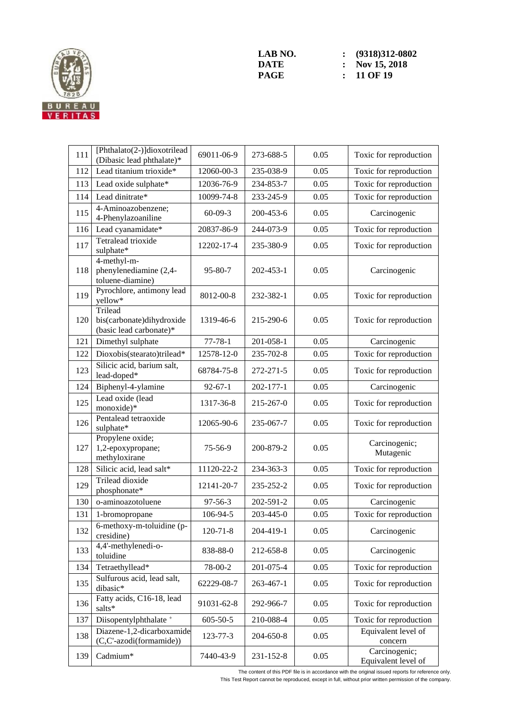

| 111 | [Phthalato(2-)]dioxotrilead<br>(Dibasic lead phthalate)*        | 69011-06-9     | 273-688-5 | 0.05 | Toxic for reproduction               |
|-----|-----------------------------------------------------------------|----------------|-----------|------|--------------------------------------|
| 112 | Lead titanium trioxide*                                         | 12060-00-3     | 235-038-9 | 0.05 | Toxic for reproduction               |
| 113 | Lead oxide sulphate*                                            | 12036-76-9     | 234-853-7 | 0.05 | Toxic for reproduction               |
| 114 | Lead dinitrate*                                                 | 10099-74-8     | 233-245-9 | 0.05 | Toxic for reproduction               |
| 115 | 4-Aminoazobenzene;<br>4-Phenylazoaniline                        | $60 - 09 - 3$  | 200-453-6 | 0.05 | Carcinogenic                         |
| 116 | Lead cyanamidate*                                               | 20837-86-9     | 244-073-9 | 0.05 | Toxic for reproduction               |
| 117 | Tetralead trioxide<br>sulphate*                                 | 12202-17-4     | 235-380-9 | 0.05 | Toxic for reproduction               |
| 118 | 4-methyl-m-<br>phenylenediamine (2,4-<br>toluene-diamine)       | $95 - 80 - 7$  | 202-453-1 | 0.05 | Carcinogenic                         |
| 119 | Pyrochlore, antimony lead<br>yellow*                            | 8012-00-8      | 232-382-1 | 0.05 | Toxic for reproduction               |
| 120 | Trilead<br>bis(carbonate)dihydroxide<br>(basic lead carbonate)* | 1319-46-6      | 215-290-6 | 0.05 | Toxic for reproduction               |
| 121 | Dimethyl sulphate                                               | $77 - 78 - 1$  | 201-058-1 | 0.05 | Carcinogenic                         |
| 122 | Dioxobis(stearato)trilead*                                      | 12578-12-0     | 235-702-8 | 0.05 | Toxic for reproduction               |
| 123 | Silicic acid, barium salt,<br>lead-doped*                       | 68784-75-8     | 272-271-5 | 0.05 | Toxic for reproduction               |
| 124 | Biphenyl-4-ylamine                                              | $92 - 67 - 1$  | 202-177-1 | 0.05 | Carcinogenic                         |
| 125 | Lead oxide (lead<br>monoxide)*                                  | 1317-36-8      | 215-267-0 | 0.05 | Toxic for reproduction               |
| 126 | Pentalead tetraoxide<br>sulphate*                               | 12065-90-6     | 235-067-7 | 0.05 | Toxic for reproduction               |
| 127 | Propylene oxide;<br>1,2-epoxypropane;<br>methyloxirane          | 75-56-9        | 200-879-2 | 0.05 | Carcinogenic;<br>Mutagenic           |
| 128 | Silicic acid, lead salt*                                        | 11120-22-2     | 234-363-3 | 0.05 | Toxic for reproduction               |
| 129 | Trilead dioxide<br>phosphonate*                                 | 12141-20-7     | 235-252-2 | 0.05 | Toxic for reproduction               |
| 130 | o-aminoazotoluene                                               | 97-56-3        | 202-591-2 | 0.05 | Carcinogenic                         |
| 131 | 1-bromopropane                                                  | 106-94-5       | 203-445-0 | 0.05 | Toxic for reproduction               |
| 132 | $6$ -methoxy-m-toluidine (p-<br>cresidine)                      | $120 - 71 - 8$ | 204-419-1 | 0.05 | Carcinogenic                         |
| 133 | 4,4'-methylenedi-o-<br>toluidine                                | 838-88-0       | 212-658-8 | 0.05 | Carcinogenic                         |
| 134 | Tetraethyllead*                                                 | 78-00-2        | 201-075-4 | 0.05 | Toxic for reproduction               |
| 135 | Sulfurous acid, lead salt,<br>dibasic*                          | 62229-08-7     | 263-467-1 | 0.05 | Toxic for reproduction               |
| 136 | Fatty acids, C16-18, lead<br>salts*                             | 91031-62-8     | 292-966-7 | 0.05 | Toxic for reproduction               |
| 137 | Diisopentylphthalate <sup>+</sup>                               | $605 - 50 - 5$ | 210-088-4 | 0.05 | Toxic for reproduction               |
| 138 | Diazene-1,2-dicarboxamide<br>(C,C'-azodi(formamide))            | 123-77-3       | 204-650-8 | 0.05 | Equivalent level of<br>concern       |
| 139 | Cadmium*                                                        | 7440-43-9      | 231-152-8 | 0.05 | Carcinogenic;<br>Equivalent level of |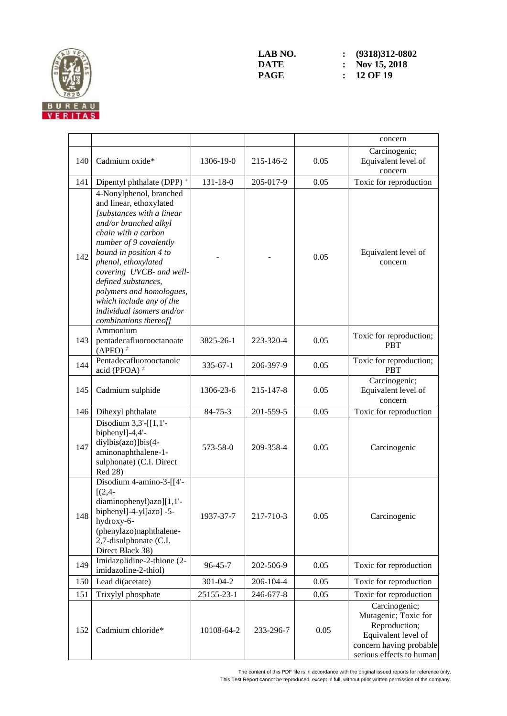

|     |                                                                                                                                                                                                                                                                                                                                                                             |                |           |      | concern                                                                                                                              |
|-----|-----------------------------------------------------------------------------------------------------------------------------------------------------------------------------------------------------------------------------------------------------------------------------------------------------------------------------------------------------------------------------|----------------|-----------|------|--------------------------------------------------------------------------------------------------------------------------------------|
| 140 | Cadmium oxide*                                                                                                                                                                                                                                                                                                                                                              | 1306-19-0      | 215-146-2 | 0.05 | Carcinogenic;<br>Equivalent level of<br>concern                                                                                      |
| 141 | Dipentyl phthalate (DPP) <sup>+</sup>                                                                                                                                                                                                                                                                                                                                       | $131 - 18 - 0$ | 205-017-9 | 0.05 | Toxic for reproduction                                                                                                               |
| 142 | 4-Nonylphenol, branched<br>and linear, ethoxylated<br>[substances with a linear<br>and/or branched alkyl<br>chain with a carbon<br>number of 9 covalently<br>bound in position 4 to<br>phenol, ethoxylated<br>covering UVCB- and well-<br>defined substances,<br>polymers and homologues,<br>which include any of the<br>individual isomers and/or<br>combinations thereof] |                |           | 0.05 | Equivalent level of<br>concern                                                                                                       |
| 143 | Ammonium<br>pentadecafluorooctanoate<br>$(APFO)^{\neq}$                                                                                                                                                                                                                                                                                                                     | 3825-26-1      | 223-320-4 | 0.05 | Toxic for reproduction;<br><b>PBT</b>                                                                                                |
| 144 | Pentadecafluorooctanoic<br>acid (PFOA) $\neq$                                                                                                                                                                                                                                                                                                                               | $335 - 67 - 1$ | 206-397-9 | 0.05 | Toxic for reproduction;<br><b>PBT</b>                                                                                                |
| 145 | Cadmium sulphide                                                                                                                                                                                                                                                                                                                                                            | 1306-23-6      | 215-147-8 | 0.05 | Carcinogenic;<br>Equivalent level of<br>concern                                                                                      |
| 146 | Dihexyl phthalate                                                                                                                                                                                                                                                                                                                                                           | $84 - 75 - 3$  | 201-559-5 | 0.05 | Toxic for reproduction                                                                                                               |
| 147 | Disodium $3,3'$ -[[1,1'-<br>biphenyl]-4,4'-<br>diylbis(azo)]bis(4-<br>aminonaphthalene-1-<br>sulphonate) (C.I. Direct<br>Red 28)                                                                                                                                                                                                                                            | 573-58-0       | 209-358-4 | 0.05 | Carcinogenic                                                                                                                         |
| 148 | Disodium 4-amino-3-[[4'-<br>$[(2,4 -$<br>diaminophenyl)azo][1,1'-<br>biphenyl]-4-yl]azo] -5-<br>hydroxy-6-<br>(phenylazo)naphthalene-<br>2,7-disulphonate (C.I.<br>Direct Black 38)                                                                                                                                                                                         | 1937-37-7      | 217-710-3 | 0.05 | Carcinogenic                                                                                                                         |
| 149 | Imidazolidine-2-thione (2-<br>imidazoline-2-thiol)                                                                                                                                                                                                                                                                                                                          | 96-45-7        | 202-506-9 | 0.05 | Toxic for reproduction                                                                                                               |
| 150 | Lead di(acetate)                                                                                                                                                                                                                                                                                                                                                            | 301-04-2       | 206-104-4 | 0.05 | Toxic for reproduction                                                                                                               |
| 151 | Trixylyl phosphate                                                                                                                                                                                                                                                                                                                                                          | 25155-23-1     | 246-677-8 | 0.05 | Toxic for reproduction                                                                                                               |
| 152 | Cadmium chloride*                                                                                                                                                                                                                                                                                                                                                           | 10108-64-2     | 233-296-7 | 0.05 | Carcinogenic;<br>Mutagenic; Toxic for<br>Reproduction;<br>Equivalent level of<br>concern having probable<br>serious effects to human |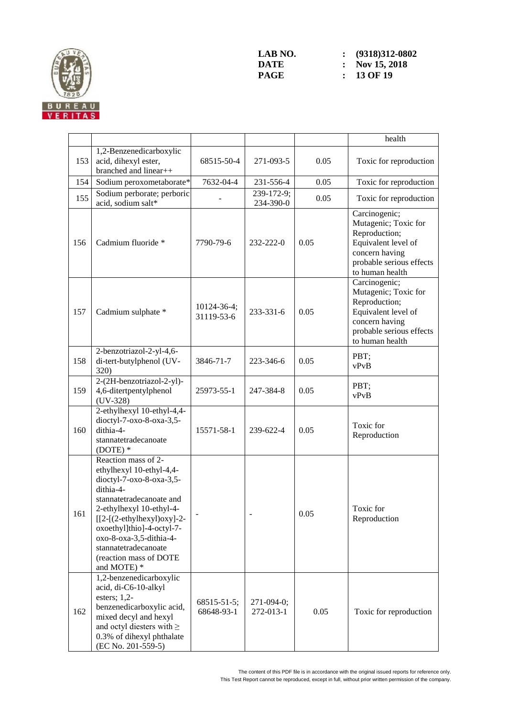

**LAB** NO. <br>**: (9318)312-0802**<br>**DATE :** Nov 15, 2018 **DATE : Nov 15, 2018**<br>**PAGE : 13 OF 19 PAGE : 13 OF 19**

|     |                                                                                                                                                                                                                                                                                                          |                           |                           |      | health                                                                                                                                         |
|-----|----------------------------------------------------------------------------------------------------------------------------------------------------------------------------------------------------------------------------------------------------------------------------------------------------------|---------------------------|---------------------------|------|------------------------------------------------------------------------------------------------------------------------------------------------|
| 153 | 1,2-Benzenedicarboxylic<br>acid, dihexyl ester,<br>branched and linear++                                                                                                                                                                                                                                 | 68515-50-4                | 271-093-5                 | 0.05 | Toxic for reproduction                                                                                                                         |
| 154 | Sodium peroxometaborate*                                                                                                                                                                                                                                                                                 | 7632-04-4                 | 231-556-4                 | 0.05 | Toxic for reproduction                                                                                                                         |
| 155 | Sodium perborate; perboric<br>acid, sodium salt*                                                                                                                                                                                                                                                         |                           | 239-172-9;<br>234-390-0   | 0.05 | Toxic for reproduction                                                                                                                         |
| 156 | Cadmium fluoride *                                                                                                                                                                                                                                                                                       | 7790-79-6                 | 232-222-0                 | 0.05 | Carcinogenic;<br>Mutagenic; Toxic for<br>Reproduction;<br>Equivalent level of<br>concern having<br>probable serious effects<br>to human health |
| 157 | Cadmium sulphate *                                                                                                                                                                                                                                                                                       | 10124-36-4;<br>31119-53-6 | 233-331-6                 | 0.05 | Carcinogenic;<br>Mutagenic; Toxic for<br>Reproduction;<br>Equivalent level of<br>concern having<br>probable serious effects<br>to human health |
| 158 | 2-benzotriazol-2-yl-4,6-<br>di-tert-butylphenol (UV-<br>320)                                                                                                                                                                                                                                             | 3846-71-7                 | 223-346-6                 | 0.05 | PBT;<br>vPvB                                                                                                                                   |
| 159 | 2-(2H-benzotriazol-2-yl)-<br>4,6-ditertpentylphenol<br>$(UV-328)$                                                                                                                                                                                                                                        | 25973-55-1                | 247-384-8                 | 0.05 | PBT;<br>vPvB                                                                                                                                   |
| 160 | 2-ethylhexyl 10-ethyl-4,4-<br>dioctyl-7-oxo-8-oxa-3,5-<br>dithia-4-<br>stannatetradecanoate<br>$(DOTE)*$                                                                                                                                                                                                 | 15571-58-1                | 239-622-4                 | 0.05 | Toxic for<br>Reproduction                                                                                                                      |
| 161 | Reaction mass of 2-<br>ethylhexyl 10-ethyl-4,4-<br>dioctyl-7-oxo-8-oxa-3,5-<br>dithia-4-<br>stannatetradecanoate and<br>2-ethylhexyl 10-ethyl-4-<br>$[[2-(2-ethylhexyl)oxy]-2-$<br>oxoethyl]thio]-4-octyl-7-<br>oxo-8-oxa-3,5-dithia-4-<br>stannatetradecanoate<br>(reaction mass of DOTE<br>and MOTE) * |                           |                           | 0.05 | Toxic for<br>Reproduction                                                                                                                      |
| 162 | 1,2-benzenedicarboxylic<br>acid, di-C6-10-alkyl<br>esters; $1,2$ -<br>benzenedicarboxylic acid,<br>mixed decyl and hexyl<br>and octyl diesters with $\geq$<br>0.3% of dihexyl phthalate<br>(EC No. 201-559-5)                                                                                            | 68515-51-5;<br>68648-93-1 | $271-094-0;$<br>272-013-1 | 0.05 | Toxic for reproduction                                                                                                                         |

The content of this PDF file is in accordance with the original issued reports for reference only. This Test Report cannot be reproduced, except in full, without prior written permission of the company.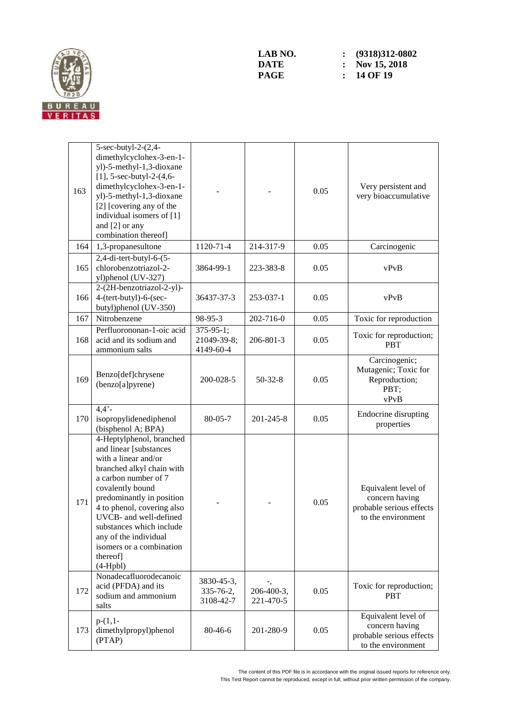

| 163 | 5-sec-butyl-2-(2,4-<br>dimethylcyclohex-3-en-1-<br>yl)-5-methyl-1,3-dioxane<br>[1], $5$ -sec-butyl-2- $(4, 6$ -<br>dimethylcyclohex-3-en-1-<br>yl)-5-methyl-1,3-dioxane<br>[2] [covering any of the<br>individual isomers of [1]<br>and [2] or any<br>combination thereof]                                                                          |                                              |                         | 0.05 | Very persistent and<br>very bioaccumulative                                             |
|-----|-----------------------------------------------------------------------------------------------------------------------------------------------------------------------------------------------------------------------------------------------------------------------------------------------------------------------------------------------------|----------------------------------------------|-------------------------|------|-----------------------------------------------------------------------------------------|
| 164 | 1,3-propanesultone                                                                                                                                                                                                                                                                                                                                  | 1120-71-4                                    | 214-317-9               | 0.05 | Carcinogenic                                                                            |
| 165 | 2,4-di-tert-butyl-6-(5-<br>chlorobenzotriazol-2-<br>yl)phenol (UV-327)                                                                                                                                                                                                                                                                              | 3864-99-1                                    | 223-383-8               | 0.05 | vPvB                                                                                    |
| 166 | 2-(2H-benzotriazol-2-yl)-<br>4-(tert-butyl)-6-(sec-<br>butyl)phenol (UV-350)                                                                                                                                                                                                                                                                        | 36437-37-3                                   | 253-037-1               | 0.05 | vPvB                                                                                    |
| 167 | Nitrobenzene                                                                                                                                                                                                                                                                                                                                        | 98-95-3                                      | 202-716-0               | 0.05 | Toxic for reproduction                                                                  |
| 168 | Perfluorononan-1-oic acid<br>acid and its sodium and<br>ammonium salts                                                                                                                                                                                                                                                                              | $375 - 95 - 1$ ;<br>21049-39-8;<br>4149-60-4 | 206-801-3               | 0.05 | Toxic for reproduction;<br><b>PRT</b>                                                   |
| 169 | Benzo[def]chrysene<br>(benzo[a]pyrene)                                                                                                                                                                                                                                                                                                              | $200 - 028 - 5$                              | $50-32-8$               | 0.05 | Carcinogenic;<br>Mutagenic; Toxic for<br>Reproduction;<br>PBT;<br>vPvB                  |
| 170 | $4,4$ <sup>2</sup> -<br>isopropylidenediphenol<br>(bisphenol A; BPA)                                                                                                                                                                                                                                                                                | $80 - 05 - 7$                                | 201-245-8               | 0.05 | Endocrine disrupting<br>properties                                                      |
| 171 | 4-Heptylphenol, branched<br>and linear [substances<br>with a linear and/or<br>branched alkyl chain with<br>a carbon number of 7<br>covalently bound<br>predominantly in position<br>4 to phenol, covering also<br>UVCB- and well-defined<br>substances which include<br>any of the individual<br>isomers or a combination<br>thereof]<br>$(4-Hpbl)$ |                                              |                         | 0.05 | Equivalent level of<br>concern having<br>probable serious effects<br>to the environment |
| 172 | Nonadecafluorodecanoic<br>acid (PFDA) and its<br>sodium and ammonium<br>salts                                                                                                                                                                                                                                                                       | 3830-45-3,<br>335-76-2,<br>3108-42-7         | 206-400-3,<br>221-470-5 | 0.05 | Toxic for reproduction;<br><b>PBT</b>                                                   |
| 173 | $p-(1,1-$<br>dimethylpropyl)phenol<br>(PTAP)                                                                                                                                                                                                                                                                                                        | 80-46-6                                      | 201-280-9               | 0.05 | Equivalent level of<br>concern having<br>probable serious effects<br>to the environment |

The content of this PDF file is in accordance with the original issued reports for reference only. This Test Report cannot be reproduced, except in full, without prior written permission of the company.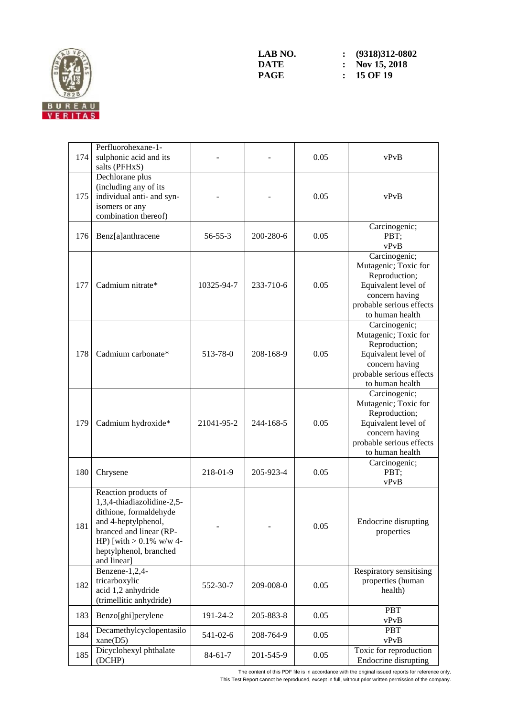

| 174 | Perfluorohexane-1-<br>sulphonic acid and its<br>salts (PFHxS)                                                                                                                                         |               |           | 0.05 | vPvB                                                                                                                                           |
|-----|-------------------------------------------------------------------------------------------------------------------------------------------------------------------------------------------------------|---------------|-----------|------|------------------------------------------------------------------------------------------------------------------------------------------------|
| 175 | Dechlorane plus<br>(including any of its<br>individual anti- and syn-<br>isomers or any<br>combination thereof)                                                                                       |               |           | 0.05 | vPvB                                                                                                                                           |
| 176 | Benz[a]anthracene                                                                                                                                                                                     | $56 - 55 - 3$ | 200-280-6 | 0.05 | Carcinogenic;<br>PBT;<br>vPvB                                                                                                                  |
| 177 | Cadmium nitrate*                                                                                                                                                                                      | 10325-94-7    | 233-710-6 | 0.05 | Carcinogenic;<br>Mutagenic; Toxic for<br>Reproduction;<br>Equivalent level of<br>concern having<br>probable serious effects<br>to human health |
| 178 | Cadmium carbonate*                                                                                                                                                                                    | 513-78-0      | 208-168-9 | 0.05 | Carcinogenic;<br>Mutagenic; Toxic for<br>Reproduction;<br>Equivalent level of<br>concern having<br>probable serious effects<br>to human health |
| 179 | Cadmium hydroxide*                                                                                                                                                                                    | 21041-95-2    | 244-168-5 | 0.05 | Carcinogenic;<br>Mutagenic; Toxic for<br>Reproduction;<br>Equivalent level of<br>concern having<br>probable serious effects<br>to human health |
| 180 | Chrysene                                                                                                                                                                                              | 218-01-9      | 205-923-4 | 0.05 | Carcinogenic;<br>PBT;<br>vPvB                                                                                                                  |
| 181 | Reaction products of<br>1,3,4-thiadiazolidine-2,5-<br>dithione, formaldehyde<br>and 4-heptylphenol,<br>branced and linear (RP-<br>HP) [with $> 0.1\%$ w/w 4-<br>heptylphenol, branched<br>and linear] |               |           | 0.05 | <b>Endocrine</b> disrupting<br>properties                                                                                                      |
| 182 | Benzene-1,2,4-<br>tricarboxylic<br>acid 1,2 anhydride<br>(trimellitic anhydride)                                                                                                                      | 552-30-7      | 209-008-0 | 0.05 | Respiratory sensitising<br>properties (human<br>health)                                                                                        |
| 183 | Benzo[ghi]perylene                                                                                                                                                                                    | 191-24-2      | 205-883-8 | 0.05 | <b>PBT</b><br>vPvB                                                                                                                             |
| 184 | Decamethylcyclopentasilo<br>xane(D5)                                                                                                                                                                  | 541-02-6      | 208-764-9 | 0.05 | PBT<br>vPvB                                                                                                                                    |
| 185 | Dicyclohexyl phthalate<br>(DCHP)                                                                                                                                                                      | $84 - 61 - 7$ | 201-545-9 | 0.05 | Toxic for reproduction<br>Endocrine disrupting                                                                                                 |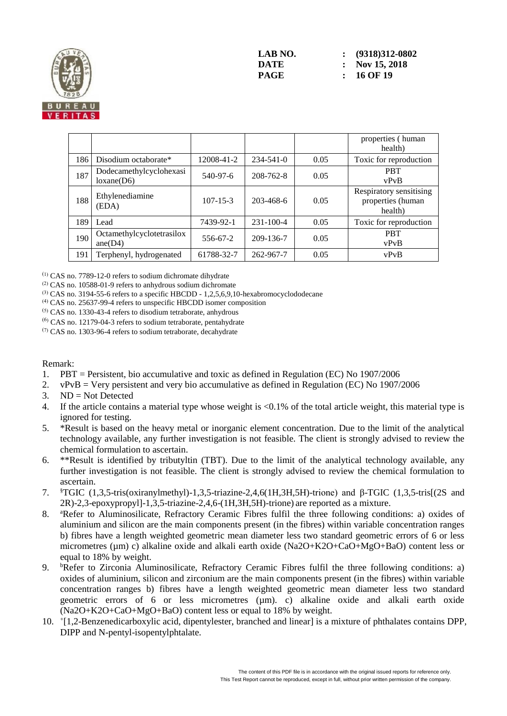

|     |                                       |                |                 |      | properties (human<br>health)                            |
|-----|---------------------------------------|----------------|-----------------|------|---------------------------------------------------------|
| 186 | Disodium octaborate*                  | 12008-41-2     | $234 - 541 - 0$ | 0.05 | Toxic for reproduction                                  |
| 187 | Dodecamethylcyclohexasi<br>loxane(D6) | 540-97-6       | 208-762-8       | 0.05 | <b>PRT</b><br>vPvB                                      |
| 188 | Ethylenediamine<br>(EDA)              | $107 - 15 - 3$ | 203-468-6       | 0.05 | Respiratory sensitising<br>properties (human<br>health) |
| 189 | Lead                                  | 7439-92-1      | $231 - 100 - 4$ | 0.05 | Toxic for reproduction                                  |
| 190 | Octamethylcyclotetrasilox<br>ane(D4)  | 556-67-2       | 209-136-7       | 0.05 | <b>PBT</b><br>vPvB                                      |
| 191 | Terphenyl, hydrogenated               | 61788-32-7     | 262-967-7       | 0.05 | vPvB                                                    |

(1) CAS no. 7789-12-0 refers to sodium dichromate dihydrate

(2) CAS no. 10588-01-9 refers to anhydrous sodium dichromate

 $^{(3)}$  CAS no. 3194-55-6 refers to a specific HBCDD - 1,2,5,6,9,10-hexabromocyclododecane

(4) CAS no. 25637-99-4 refers to unspecific HBCDD isomer composition

(5) CAS no. 1330-43-4 refers to disodium tetraborate, anhydrous

 $(6)$  CAS no. 12179-04-3 refers to sodium tetraborate, pentahydrate

 $(7)$  CAS no. 1303-96-4 refers to sodium tetraborate, decahydrate

#### Remark:

- 1. PBT = Persistent, bio accumulative and toxic as defined in Regulation (EC) No 1907/2006
- 2. vPvB = Very persistent and very bio accumulative as defined in Regulation (EC) No 1907/2006
- 3. ND = Not Detected
- 4. If the article contains a material type whose weight is <0.1% of the total article weight, this material type is ignored for testing.
- 5. \*Result is based on the heavy metal or inorganic element concentration. Due to the limit of the analytical technology available, any further investigation is not feasible. The client is strongly advised to review the chemical formulation to ascertain.
- 6. \*\*Result is identified by tributyltin (TBT). Due to the limit of the analytical technology available, any further investigation is not feasible. The client is strongly advised to review the chemical formulation to ascertain.
- 7. §TGIC (1,3,5-tris(oxiranylmethyl)-1,3,5-triazine-2,4,6(1H,3H,5H)-trione) and β-TGIC (1,3,5-tris[(2S and 2R)-2,3-epoxypropyl]-1,3,5-triazine-2,4,6-(1H,3H,5H)-trione) are reported as a mixture.
- 8. <sup>a</sup>Refer to Aluminosilicate, Refractory Ceramic Fibres fulfil the three following conditions: a) oxides of aluminium and silicon are the main components present (in the fibres) within variable concentration ranges b) fibres have a length weighted geometric mean diameter less two standard geometric errors of 6 or less micrometres (µm) c) alkaline oxide and alkali earth oxide (Na2O+K2O+CaO+MgO+BaO) content less or equal to 18% by weight.
- 9. <sup>b</sup>Refer to Zirconia Aluminosilicate, Refractory Ceramic Fibres fulfil the three following conditions: a) oxides of aluminium, silicon and zirconium are the main components present (in the fibres) within variable concentration ranges b) fibres have a length weighted geometric mean diameter less two standard geometric errors of 6 or less micrometres (µm). c) alkaline oxide and alkali earth oxide (Na2O+K2O+CaO+MgO+BaO) content less or equal to 18% by weight.
- 10. <sup>+</sup> [1,2-Benzenedicarboxylic acid, dipentylester, branched and linear] is a mixture of phthalates contains DPP, DIPP and N-pentyl-isopentylphtalate.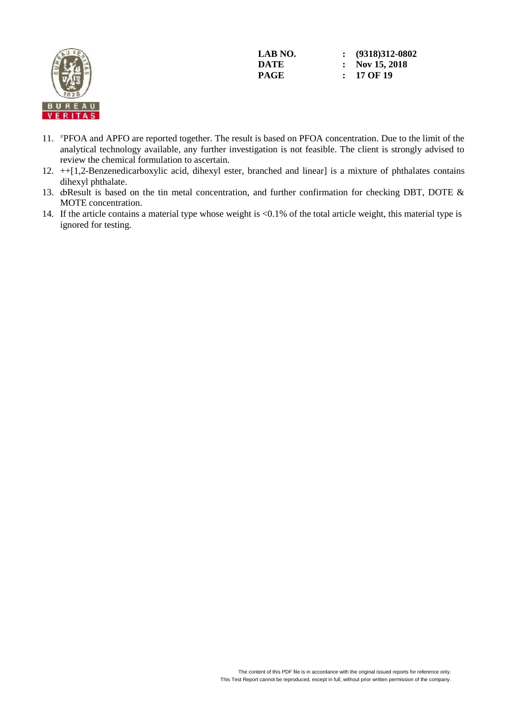

- 11. <sup>≠</sup>PFOA and APFO are reported together. The result is based on PFOA concentration. Due to the limit of the analytical technology available, any further investigation is not feasible. The client is strongly advised to review the chemical formulation to ascertain.
- 12. ++[1,2-Benzenedicarboxylic acid, dihexyl ester, branched and linear] is a mixture of phthalates contains dihexyl phthalate.
- 13. doResult is based on the tin metal concentration, and further confirmation for checking DBT, DOTE & MOTE concentration.
- 14. If the article contains a material type whose weight is <0.1% of the total article weight, this material type is ignored for testing.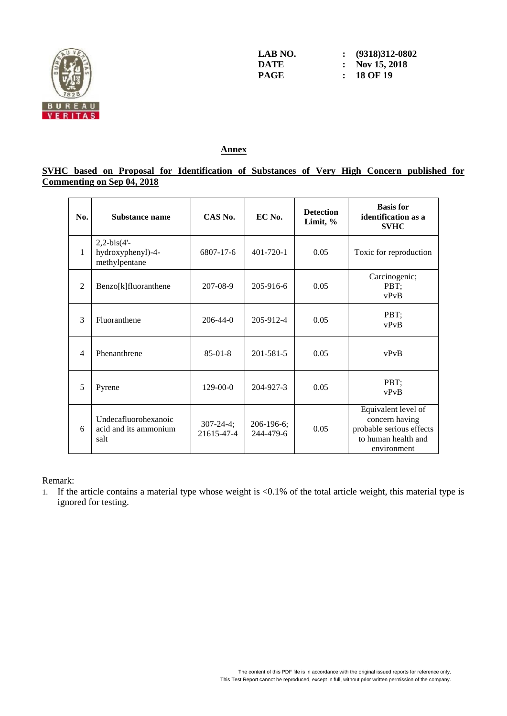

**LAB NO. : (9318)312-0802 DATE : Nov** 15, 2018<br>**PAGE :** 18 OF 19 **PAGE : 18 OF 19**

## **Annex**

# **SVHC based on Proposal for Identification of Substances of Very High Concern published for Commenting on Sep 04, 2018**

| No.            | Substance name                                        | CAS No.                       | EC No.                  | <b>Detection</b><br>Limit, % | <b>Basis</b> for<br>identification as a<br><b>SVHC</b>                                                  |
|----------------|-------------------------------------------------------|-------------------------------|-------------------------|------------------------------|---------------------------------------------------------------------------------------------------------|
| 1              | $2,2-bis(4'-$<br>hydroxyphenyl)-4-<br>methylpentane   | 6807-17-6                     | $401 - 720 - 1$         | 0.05                         | Toxic for reproduction                                                                                  |
| $\overline{2}$ | Benzo[k]fluoranthene                                  | 207-08-9                      | 205-916-6               | 0.05                         | Carcinogenic;<br>PBT;<br>vPvB                                                                           |
| 3              | Fluoranthene                                          | $206 - 44 - 0$                | 205-912-4               | 0.05                         | PBT;<br>vPvB                                                                                            |
| $\overline{4}$ | Phenanthrene                                          | $85-01-8$                     | 201-581-5               | 0.05                         | vPvB                                                                                                    |
| 5              | Pyrene                                                | 129-00-0                      | 204-927-3               | 0.05                         | PBT;<br>vPvB                                                                                            |
| 6              | Undecafluorohexanoic<br>acid and its ammonium<br>salt | $307 - 24 - 4;$<br>21615-47-4 | 206-196-6;<br>244-479-6 | 0.05                         | Equivalent level of<br>concern having<br>probable serious effects<br>to human health and<br>environment |

Remark:

1. If the article contains a material type whose weight is <0.1% of the total article weight, this material type is ignored for testing.